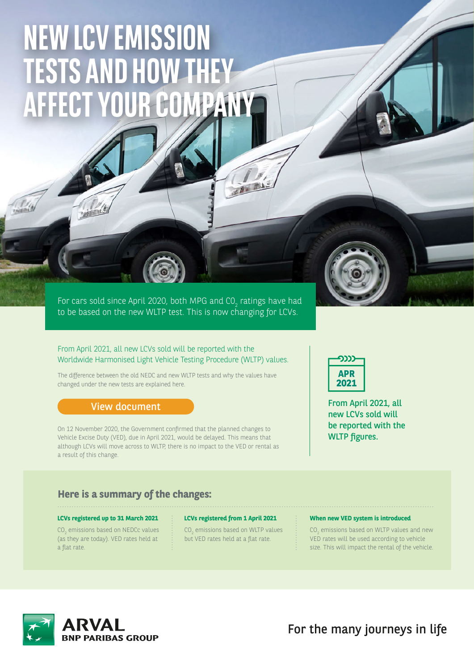# **NEW LCV EMISSION TESTS AND HOW THEY AFFECT YOUR COMPANY**

For cars sold since April 2020, both MPG and CO<sub>2</sub> ratings have had to be based on the new WLTP test. This is now changing for LCVs.

#### From April 2021, all new LCVs sold will be reported with the Worldwide Harmonised Light Vehicle Testing Procedure (WLTP) values.

The difference between the old NEDC and new WLTP tests and why the values have changed under the new tests are explained here.

#### [View document](https://www.arval.co.uk/sites/uk/files/media/documents/wltp_nedc_compare_new.pdf)

On 12 November 2020, the Government confirmed that the planned changes to Vehicle Excise Duty (VED), due in April 2021, would be delayed. This means that although LCVs will move across to WLTP, there is no impact to the VED or rental as a result of this change.



From April 2021, all new LCVs sold will be reported with the WLTP figures.

### **Here is a summary of the changes:**

#### **LCVs registered up to 31 March 2021**

 $\mathrm{CO}_2$  emissions based on NEDCc values (as they are today). VED rates held at a flat rate.

 $CO<sub>2</sub>$  emissions based on WLTP values but VED rates held at a flat rate.

形

#### **LCVs registered from 1 April 2021 When new VED system is introduced**

 $CO_2$  emissions based on WLTP values and new VED rates will be used according to vehicle size. This will impact the rental of the vehicle.



For the many journeys in life